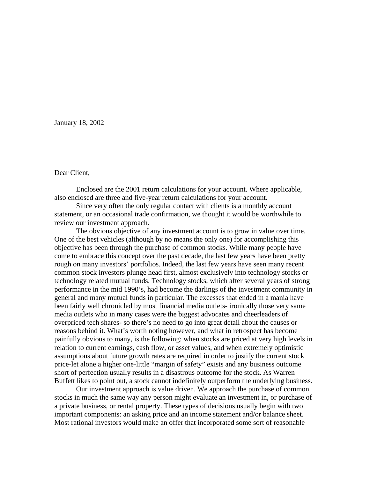January 18, 2002

## Dear Client,

 Enclosed are the 2001 return calculations for your account. Where applicable, also enclosed are three and five-year return calculations for your account.

 Since very often the only regular contact with clients is a monthly account statement, or an occasional trade confirmation, we thought it would be worthwhile to review our investment approach.

 The obvious objective of any investment account is to grow in value over time. One of the best vehicles (although by no means the only one) for accomplishing this objective has been through the purchase of common stocks. While many people have come to embrace this concept over the past decade, the last few years have been pretty rough on many investors' portfolios. Indeed, the last few years have seen many recent common stock investors plunge head first, almost exclusively into technology stocks or technology related mutual funds. Technology stocks, which after several years of strong performance in the mid 1990's, had become the darlings of the investment community in general and many mutual funds in particular. The excesses that ended in a mania have been fairly well chronicled by most financial media outlets- ironically those very same media outlets who in many cases were the biggest advocates and cheerleaders of overpriced tech shares- so there's no need to go into great detail about the causes or reasons behind it. What's worth noting however, and what in retrospect has become painfully obvious to many, is the following: when stocks are priced at very high levels in relation to current earnings, cash flow, or asset values, and when extremely optimistic assumptions about future growth rates are required in order to justify the current stock price-let alone a higher one-little "margin of safety" exists and any business outcome short of perfection usually results in a disastrous outcome for the stock. As Warren Buffett likes to point out, a stock cannot indefinitely outperform the underlying business.

 Our investment approach is value driven. We approach the purchase of common stocks in much the same way any person might evaluate an investment in, or purchase of a private business, or rental property. These types of decisions usually begin with two important components: an asking price and an income statement and/or balance sheet. Most rational investors would make an offer that incorporated some sort of reasonable